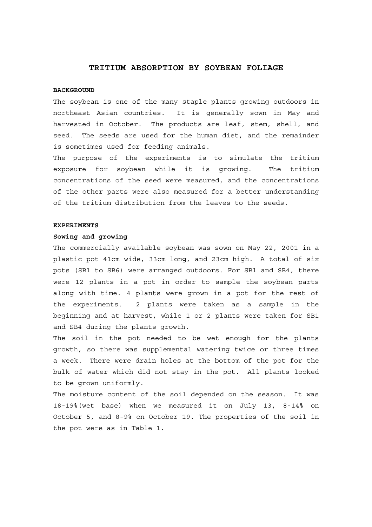# **TRITIUM ABSORPTION BY SOYBEAN FOLIAGE**

### **BACKGROUND**

The soybean is one of the many staple plants growing outdoors in northeast Asian countries. It is generally sown in May and harvested in October. The products are leaf, stem, shell, and seed. The seeds are used for the human diet, and the remainder is sometimes used for feeding animals.

The purpose of the experiments is to simulate the tritium exposure for soybean while it is growing. The tritium concentrations of the seed were measured, and the concentrations of the other parts were also measured for a better understanding of the tritium distribution from the leaves to the seeds.

#### **EXPERIMENTS**

#### **Sowing and growing**

The commercially available soybean was sown on May 22, 2001 in a plastic pot 41cm wide, 33cm long, and 23cm high. A total of six pots (SB1 to SB6) were arranged outdoors. For SB1 and SB4, there were 12 plants in a pot in order to sample the soybean parts along with time. 4 plants were grown in a pot for the rest of the experiments. 2 plants were taken as a sample in the beginning and at harvest, while 1 or 2 plants were taken for SB1 and SB4 during the plants growth.

The soil in the pot needed to be wet enough for the plants growth, so there was supplemental watering twice or three times a week. There were drain holes at the bottom of the pot for the bulk of water which did not stay in the pot. All plants looked to be grown uniformly.

The moisture content of the soil depended on the season. It was 18-19%(wet base) when we measured it on July 13, 8-14% on October 5, and 8-9% on October 19. The properties of the soil in the pot were as in Table 1.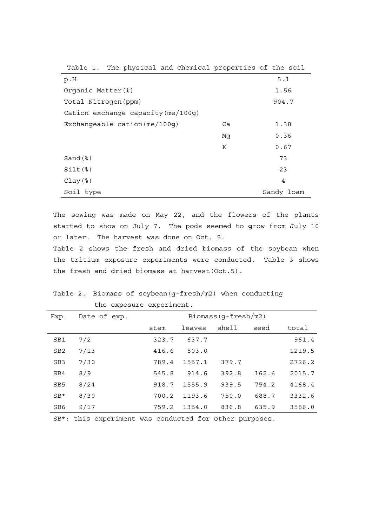| Table 1. The physical and chemical properties of the soil |    |            |
|-----------------------------------------------------------|----|------------|
| p.H                                                       |    | 5.1        |
| Organic Matter (%)                                        |    | 1.56       |
| Total Nitrogen (ppm)                                      |    | 904.7      |
| Cation exchange capacity (me/100g)                        |    |            |
| Exchangeable cation $(me/100q)$                           | Ca | 1.38       |
|                                                           | Mq | 0.36       |
|                                                           | Κ  | 0.67       |
| $Sand$ $(*)$                                              |    | 73         |
| $Silt$ $(*)$                                              |    | 23         |
| $Clay$                                                    |    | 4          |
| Soil type                                                 |    | Sandy loam |

The sowing was made on May 22, and the flowers of the plants started to show on July 7. The pods seemed to grow from July 10 or later. The harvest was done on Oct. 5.

Table 2 shows the fresh and dried biomass of the soybean when the tritium exposure experiments were conducted. Table 3 shows the fresh and dried biomass at harvest(Oct.5).

Table 2. Biomass of soybean(g-fresh/m2) when conducting the exposure experiment.

| Exp.            | Date of exp. | Biomass(g-fresh/m2) |        |       |       |        |
|-----------------|--------------|---------------------|--------|-------|-------|--------|
|                 |              | stem                | leaves | shell | seed  | total  |
| SB1             | 7/2          | 323.7               | 637.7  |       |       | 961.4  |
| SB <sub>2</sub> | 7/13         | 416.6               | 803.0  |       |       | 1219.5 |
| SB <sub>3</sub> | 7/30         | 789.4               | 1557.1 | 379.7 |       | 2726.2 |
| SB4             | 8/9          | 545.8               | 914.6  | 392.8 | 162.6 | 2015.7 |
| SB <sub>5</sub> | 8/24         | 918.7               | 1555.9 | 939.5 | 754.2 | 4168.4 |
| $SB*$           | 8/30         | 700.2               | 1193.6 | 750.0 | 688.7 | 3332.6 |
| SB <sub>6</sub> | 9/17         | 759.2               | 1354.0 | 836.8 | 635.9 | 3586.0 |

SB\*: this experiment was conducted for other purposes.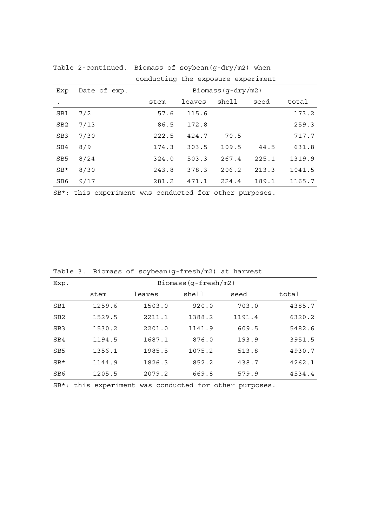|                 |              | conducting the exposure experiment |        |       |       |        |
|-----------------|--------------|------------------------------------|--------|-------|-------|--------|
| Exp             | Date of exp. | Biomass $(g-dry/m2)$               |        |       |       |        |
|                 |              | stem                               | leaves | shell | seed  | total  |
| SB1             | 7/2          | 57.6                               | 115.6  |       |       | 173.2  |
| SB <sub>2</sub> | 7/13         | 86.5                               | 172.8  |       |       | 259.3  |
| SB <sub>3</sub> | 7/30         | 222.5                              | 424.7  | 70.5  |       | 717.7  |
| SB4             | 8/9          | 174.3                              | 303.5  | 109.5 | 44.5  | 631.8  |
| SB <sub>5</sub> | 8/24         | 324.0                              | 503.3  | 267.4 | 225.1 | 1319.9 |
| $SB*$           | 8/30         | 243.8                              | 378.3  | 206.2 | 213.3 | 1041.5 |
| SB <sub>6</sub> | 9/17         | 281.2                              | 471.1  | 224.4 | 189.1 | 1165.7 |

Table 2-continued. Biomass of soybean(g-dry/m2) when conducting the exposure experiment

SB\*: this experiment was conducted for other purposes.

|                 |                     | $220$ $-220$ $-20$ $-20$ $-1$ | $        -$ |        |        |
|-----------------|---------------------|-------------------------------|-------------|--------|--------|
| Exp.            | Biomass(g-fresh/m2) |                               |             |        |        |
|                 | stem                | leaves                        | shell       | seed   | total  |
| SB1             | 1259.6              | 1503.0                        | 920.0       | 703.0  | 4385.7 |
| SB <sub>2</sub> | 1529.5              | 2211.1                        | 1388.2      | 1191.4 | 6320.2 |
| SB <sub>3</sub> | 1530.2              | 2201.0                        | 1141.9      | 609.5  | 5482.6 |
| SB4             | 1194.5              | 1687.1                        | 876.0       | 193.9  | 3951.5 |
| SB <sub>5</sub> | 1356.1              | 1985.5                        | 1075.2      | 513.8  | 4930.7 |
| $SB*$           | 1144.9              | 1826.3                        | 852.2       | 438.7  | 4262.1 |
| SB <sub>6</sub> | 1205.5              | 2079.2                        | 669.8       | 579.9  | 4534.4 |

Table 3. Biomass of soybean(g-fresh/m2) at harvest

SB\*: this experiment was conducted for other purposes.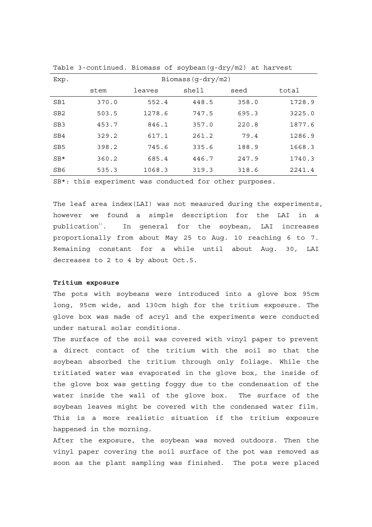| Exp.            | Biomass $(q-dry/m2)$ |        |       |       |        |
|-----------------|----------------------|--------|-------|-------|--------|
|                 | stem                 | leaves | shell | seed  | total  |
| SB1             | 370.0                | 552.4  | 448.5 | 358.0 | 1728.9 |
| SB <sub>2</sub> | 503.5                | 1278.6 | 747.5 | 695.3 | 3225.0 |
| SB <sub>3</sub> | 453.7                | 846.1  | 357.0 | 220.8 | 1877.6 |
| SB4             | 329.2                | 617.1  | 261.2 | 79.4  | 1286.9 |
| SB <sub>5</sub> | 398.2                | 745.6  | 335.6 | 188.9 | 1668.3 |
| $SB*$           | 360.2                | 685.4  | 446.7 | 247.9 | 1740.3 |
| SB6             | 535.3                | 1068.3 | 319.3 | 318.6 | 2241.4 |

Table 3-continued. Biomass of soybean(g-dry/m2) at harvest

SB\*: this experiment was conducted for other purposes.

The leaf area index(LAI) was not measured during the experiments, however we found a simple description for the LAI in a  $publication<sup>1</sup>$ . In general for the soybean, LAI increases proportionally from about May 25 to Aug. 10 reaching 6 to 7. Remaining constant for a while until about Aug. 30, LAI decreases to 2 to 4 by about Oct.5.

### **Tritium exposure**

The pots with soybeans were introduced into a glove box 95cm long, 95cm wide, and 130cm high for the tritium exposure. The glove box was made of acryl and the experiments were conducted under natural solar conditions.

The surface of the soil was covered with vinyl paper to prevent a direct contact of the tritium with the soil so that the soybean absorbed the tritium through only foliage. While the tritiated water was evaporated in the glove box, the inside of the glove box was getting foggy due to the condensation of the water inside the wall of the glove box. The surface of the soybean leaves might be covered with the condensed water film. This is a more realistic situation if the tritium exposure happened in the morning.

After the exposure, the soybean was moved outdoors. Then the vinyl paper covering the soil surface of the pot was removed as soon as the plant sampling was finished. The pots were placed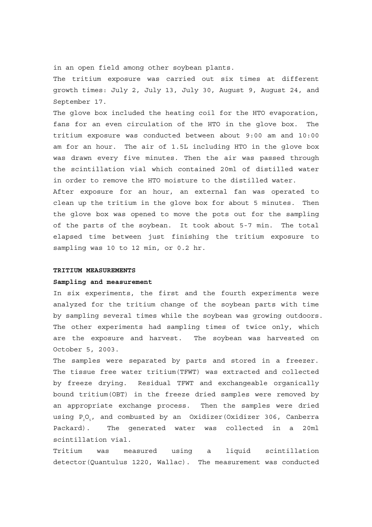in an open field among other soybean plants.

The tritium exposure was carried out six times at different growth times: July 2, July 13, July 30, August 9, August 24, and September 17.

The glove box included the heating coil for the HTO evaporation, fans for an even circulation of the HTO in the glove box. The tritium exposure was conducted between about 9:00 am and 10:00 am for an hour. The air of 1.5L including HTO in the glove box was drawn every five minutes. Then the air was passed through the scintillation vial which contained 20ml of distilled water in order to remove the HTO moisture to the distilled water.

After exposure for an hour, an external fan was operated to clean up the tritium in the glove box for about 5 minutes. Then the glove box was opened to move the pots out for the sampling of the parts of the soybean. It took about 5-7 min. The total elapsed time between just finishing the tritium exposure to sampling was 10 to 12 min, or 0.2 hr.

## **TRITIUM MEASUREMENTS**

#### **Sampling and measurement**

In six experiments, the first and the fourth experiments were analyzed for the tritium change of the soybean parts with time by sampling several times while the soybean was growing outdoors. The other experiments had sampling times of twice only, which are the exposure and harvest. The soybean was harvested on October 5, 2003.

The samples were separated by parts and stored in a freezer. The tissue free water tritium(TFWT) was extracted and collected by freeze drying. Residual TFWT and exchangeable organically bound tritium(OBT) in the freeze dried samples were removed by an appropriate exchange process. Then the samples were dried using  $P_2O_5$ , and combusted by an Oxidizer(Oxidizer 306, Canberra Packard). The generated water was collected in a 20ml scintillation vial.

Tritium was measured using a liquid scintillation detector(Quantulus 1220, Wallac). The measurement was conducted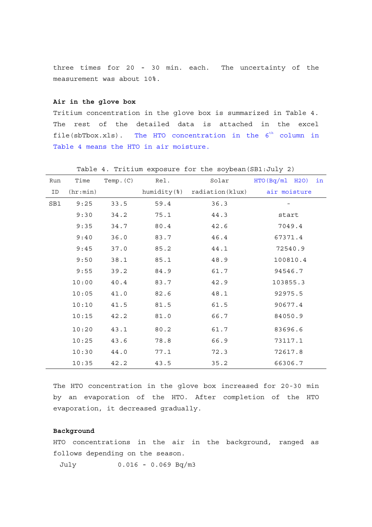three times for 20 - 30 min. each. The uncertainty of the measurement was about 10%.

### **Air in the glove box**

Tritium concentration in the glove box is summarized in Table 4. The rest of the detailed data is attached in the excel file(sbTbox.xls). The HTO concentration in the  $6<sup>th</sup>$  column in Table 4 means the HTO in air moisture.

| Run | Time     | Temp. $(C)$ | Rel. | Solar | HTO(Bq/ml H2O)<br>in                     |
|-----|----------|-------------|------|-------|------------------------------------------|
| ID  | (hr:min) |             |      |       | humidity(%) radiation(klux) air moisture |
| SB1 | 9:25     | 33.5        | 59.4 | 36.3  |                                          |
|     | 9:30     | 34.2        | 75.1 | 44.3  | start                                    |
|     | 9:35     | 34.7        | 80.4 | 42.6  | 7049.4                                   |
|     | 9:40     | 36.0        | 83.7 | 46.4  | 67371.4                                  |
|     | 9:45     | 37.0        | 85.2 | 44.1  | 72540.9                                  |
|     | 9:50     | 38.1        | 85.1 | 48.9  | 100810.4                                 |
|     | 9:55     | 39.2        | 84.9 | 61.7  | 94546.7                                  |
|     | 10:00    | 40.4        | 83.7 | 42.9  | 103855.3                                 |
|     | 10:05    | 41.0        | 82.6 | 48.1  | 92975.5                                  |
|     | 10:10    | 41.5        | 81.5 | 61.5  | 90677.4                                  |
|     | 10:15    | 42.2        | 81.0 | 66.7  | 84050.9                                  |
|     | 10:20    | 43.1        | 80.2 | 61.7  | 83696.6                                  |
|     | 10:25    | 43.6        | 78.8 | 66.9  | 73117.1                                  |
|     | 10:30    | 44.0        | 77.1 | 72.3  | 72617.8                                  |
|     | 10:35    | 42.2        | 43.5 | 35.2  | 66306.7                                  |

Table 4. Tritium exposure for the soybean(SB1:July 2)

The HTO concentration in the glove box increased for 20-30 min by an evaporation of the HTO. After completion of the HTO evaporation, it decreased gradually.

# **Background**

HTO concentrations in the air in the background, ranged as follows depending on the season.

July 0.016 - 0.069 Bq/m3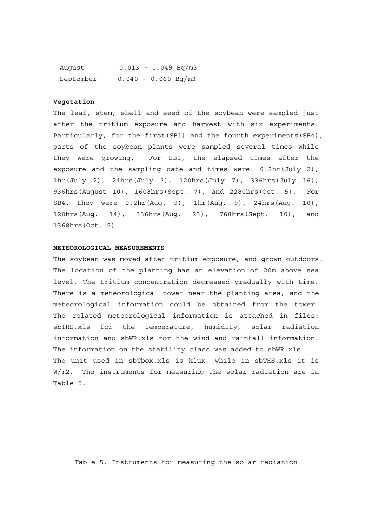| August    |                       |  | $0.013 - 0.049$ Bq/m3 |
|-----------|-----------------------|--|-----------------------|
| September | $0.040 - 0.060 Bq/m3$ |  |                       |

#### **Vegetation**

The leaf, stem, shell and seed of the soybean were sampled just after the tritium exposure and harvest with six experiments. Particularly, for the first(SB1) and the fourth experiments(SB4), parts of the soybean plants were sampled several times while they were growing. For SB1, the elapsed times after the exposure and the sampling date and times were: 0.2hr(July 2), 1hr(July 2), 24hrs(July 3), 120hrs(July 7), 336hrs(July 16), 936hrs(August 10), 1608hrs(Sept. 7), and 2280hrs(Oct. 5). For SB4, they were 0.2hr(Aug. 9), 1hr(Aug. 9), 24hrs(Aug. 10), 120hrs(Aug. 14), 336hrs(Aug. 23), 768hrs(Sept. 10), and 1368hrs(Oct. 5).

### **METEOROLOGICAL MEASUREMENTS**

The soybean was moved after tritium exposure, and grown outdoors. The location of the planting has an elevation of 20m above sea level. The tritium concentration decreased gradually with time. There is a meteorological tower near the planting area, and the meteorological information could be obtained from the tower. The related meteorological information is attached in files: sbTHS.xls for the temperature, humidity, solar radiation information and sbWR.xls for the wind and rainfall information. The information on the stability class was added to sbWR.xls. The unit used in sbTbox.xls is klux, while in sbTHS.xls it is W/m2. The instruments for measuring the solar radiation are in Table 5.

Table 5. Instruments for measuring the solar radiation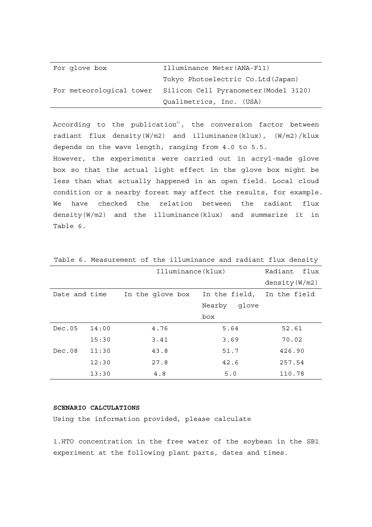| For glove box | Illuminance Meter (ANA-F11)                                    |
|---------------|----------------------------------------------------------------|
|               | Tokyo Photoelectric Co. Ltd (Japan)                            |
|               | For meteorological tower Silicon Cell Pyranometer (Model 3120) |
|               | Qualimetrics, Inc. (USA)                                       |

According to the publication<sup>2)</sup>, the conversion factor between radiant flux density(W/m2) and illuminance(klux), (W/m2)/klux depends on the wave length, ranging from 4.0 to 5.5. However, the experiments were carried out in acryl-made glove box so that the actual light effect in the glove box might be less than what actually happened in an open field. Local cloud condition or a nearby forest may affect the results, for example. We have checked the relation between the radiant flux density(W/m2) and the illuminance(klux) and summarize it in Table 6.

|               |       | Illuminance(klux) |                 | Radiant flux     |
|---------------|-------|-------------------|-----------------|------------------|
|               |       |                   |                 | density $(W/m2)$ |
| Date and time |       | In the glove box  | In the field,   | In the field     |
|               |       |                   | Nearby<br>glove |                  |
|               |       |                   | box             |                  |
| Dec.05        | 14:00 | 4.76              | 5.64            | 52.61            |
|               | 15:30 | 3.41              | 3.69            | 70.02            |
| Dec.08        | 11:30 | 43.8              | 51.7            | 426.90           |
|               | 12:30 | 27.8              | 42.6            | 257.54           |
|               | 13:30 | 4.8               | 5.0             | 110.78           |

Table 6. Measurement of the illuminance and radiant flux density

## **SCENARIO CALCULATIONS**

Using the information provided, please calculate

1.HTO concentration in the free water of the soybean in the SB1 experiment at the following plant parts, dates and times.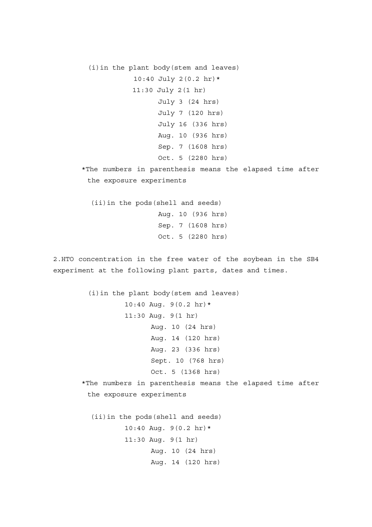(i)in the plant body(stem and leaves) 10:40 July 2(0.2 hr) \* 11:30 July 2(1 hr) July 3 (24 hrs) July 7 (120 hrs) July 16 (336 hrs) Aug. 10 (936 hrs) Sep. 7 (1608 hrs) Oct. 5 (2280 hrs) \*The numbers in parenthesis means the elapsed time after the exposure experiments (ii)in the pods(shell and seeds) Aug. 10 (936 hrs) Sep. 7 (1608 hrs) Oct. 5 (2280 hrs) 2.HTO concentration in the free water of the soybean in the SB4 experiment at the following plant parts, dates and times. (i)in the plant body(stem and leaves) 10:40 Aug. 9(0.2 hr)\* 11:30 Aug. 9(1 hr) Aug. 10 (24 hrs) Aug. 14 (120 hrs) Aug. 23 (336 hrs) Sept. 10 (768 hrs) Oct. 5 (1368 hrs) \*The numbers in parenthesis means the elapsed time after the exposure experiments (ii)in the pods(shell and seeds)  $10:40$  Aug.  $9(0.2 \text{ hr})*$ 11:30 Aug. 9(1 hr) Aug. 10 (24 hrs) Aug. 14 (120 hrs)